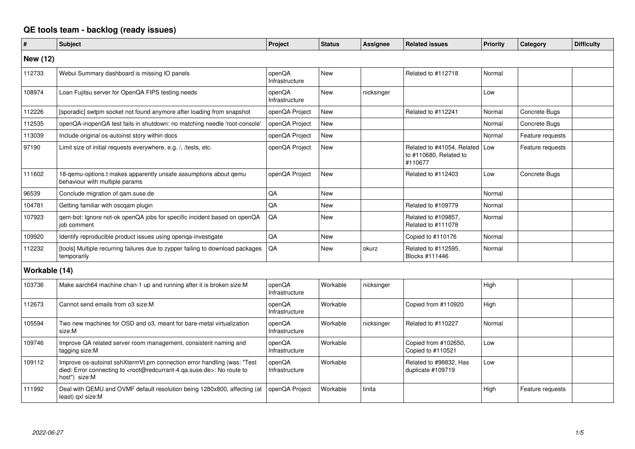## **QE tools team - backlog (ready issues)**

| #               | <b>Subject</b>                                                                                                                                                                                    | Project                  | <b>Status</b> | <b>Assignee</b> | <b>Related issues</b>                                           | Priority | Category         | <b>Difficulty</b> |
|-----------------|---------------------------------------------------------------------------------------------------------------------------------------------------------------------------------------------------|--------------------------|---------------|-----------------|-----------------------------------------------------------------|----------|------------------|-------------------|
| <b>New (12)</b> |                                                                                                                                                                                                   |                          |               |                 |                                                                 |          |                  |                   |
| 112733          | Webui Summary dashboard is missing IO panels                                                                                                                                                      | openQA<br>Infrastructure | <b>New</b>    |                 | Related to #112718                                              | Normal   |                  |                   |
| 108974          | Loan Fujitsu server for OpenQA FIPS testing needs                                                                                                                                                 | openQA<br>Infrastructure | <b>New</b>    | nicksinger      |                                                                 | Low      |                  |                   |
| 112226          | [sporadic] swtpm socket not found anymore after loading from snapshot                                                                                                                             | openQA Project           | New           |                 | Related to #112241                                              | Normal   | Concrete Bugs    |                   |
| 112535          | openQA-inopenQA test fails in shutdown: no matching needle 'root-console                                                                                                                          | openQA Project           | New           |                 |                                                                 | Normal   | Concrete Bugs    |                   |
| 113039          | Include original os-autoinst story within docs                                                                                                                                                    | openQA Project           | New           |                 |                                                                 | Normal   | Feature requests |                   |
| 97190           | Limit size of initial requests everywhere, e.g. /, /tests, etc.                                                                                                                                   | openQA Project           | <b>New</b>    |                 | Related to #41054, Related<br>to #110680, Related to<br>#110677 | Low      | Feature requests |                   |
| 111602          | 18-gemu-options.t makes apparently unsafe assumptions about gemu<br>behaviour with multiple params                                                                                                | openQA Project           | <b>New</b>    |                 | Related to #112403                                              | Low      | Concrete Bugs    |                   |
| 96539           | Conclude migration of gam.suse.de                                                                                                                                                                 | QA                       | <b>New</b>    |                 |                                                                 | Normal   |                  |                   |
| 104781          | Getting familiar with oscgam plugin                                                                                                                                                               | QA                       | <b>New</b>    |                 | Related to #109779                                              | Normal   |                  |                   |
| 107923          | qem-bot: Ignore not-ok openQA jobs for specific incident based on openQA<br>job comment                                                                                                           | QA                       | New           |                 | Related to #109857,<br>Related to #111078                       | Normal   |                  |                   |
| 109920          | Identify reproducible product issues using openga-investigate                                                                                                                                     | QA                       | <b>New</b>    |                 | Copied to #110176                                               | Normal   |                  |                   |
| 112232          | [tools] Multiple recurring failures due to zypper failing to download packages<br>temporarily                                                                                                     | QA                       | New           | okurz           | Related to #112595,<br>Blocks #111446                           | Normal   |                  |                   |
| Workable (14)   |                                                                                                                                                                                                   |                          |               |                 |                                                                 |          |                  |                   |
| 103736          | Make aarch64 machine chan-1 up and running after it is broken size:M                                                                                                                              | openQA<br>Infrastructure | Workable      | nicksinger      |                                                                 | High     |                  |                   |
| 112673          | Cannot send emails from o3 size:M                                                                                                                                                                 | openQA<br>Infrastructure | Workable      |                 | Copied from #110920                                             | High     |                  |                   |
| 105594          | Two new machines for OSD and o3, meant for bare-metal virtualization<br>size:M                                                                                                                    | openQA<br>Infrastructure | Workable      | nicksinger      | Related to #110227                                              | Normal   |                  |                   |
| 109746          | Improve QA related server room management, consistent naming and<br>tagging size:M                                                                                                                | openQA<br>Infrastructure | Workable      |                 | Copied from #102650,<br>Copied to #110521                       | Low      |                  |                   |
| 109112          | Improve os-autoinst sshXtermVt.pm connection error handling (was: "Test<br>died: Error connecting to <root@redcurrant-4.ga.suse.de>: No route to<br/>host") size:M</root@redcurrant-4.ga.suse.de> | openQA<br>Infrastructure | Workable      |                 | Related to #98832, Has<br>duplicate #109719                     | Low      |                  |                   |
| 111992          | Deal with QEMU and OVMF default resolution being 1280x800, affecting (at<br>least) qxl size:M                                                                                                     | openQA Project           | Workable      | tinita          |                                                                 | High     | Feature requests |                   |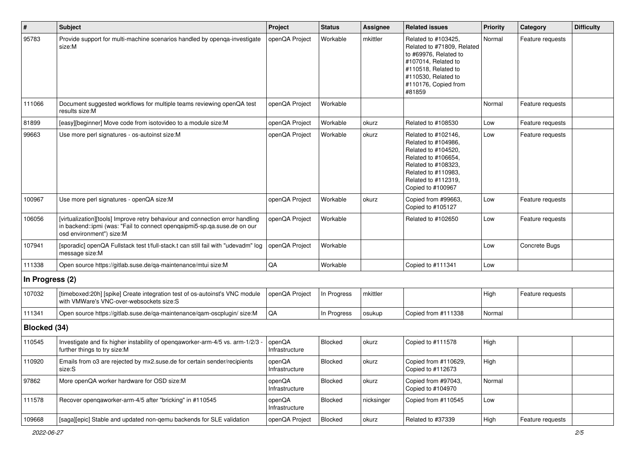| #               | <b>Subject</b>                                                                                                                                                                        | Project                  | <b>Status</b> | Assignee   | <b>Related issues</b>                                                                                                                                                              | Priority | Category         | <b>Difficulty</b> |
|-----------------|---------------------------------------------------------------------------------------------------------------------------------------------------------------------------------------|--------------------------|---------------|------------|------------------------------------------------------------------------------------------------------------------------------------------------------------------------------------|----------|------------------|-------------------|
| 95783           | Provide support for multi-machine scenarios handled by openqa-investigate<br>size:M                                                                                                   | openQA Project           | Workable      | mkittler   | Related to #103425,<br>Related to #71809, Related<br>to #69976, Related to<br>#107014, Related to<br>#110518, Related to<br>#110530, Related to<br>#110176, Copied from<br>#81859  | Normal   | Feature requests |                   |
| 111066          | Document suggested workflows for multiple teams reviewing openQA test<br>results size:M                                                                                               | openQA Project           | Workable      |            |                                                                                                                                                                                    | Normal   | Feature requests |                   |
| 81899           | [easy][beginner] Move code from isotovideo to a module size:M                                                                                                                         | openQA Project           | Workable      | okurz      | Related to #108530                                                                                                                                                                 | Low      | Feature requests |                   |
| 99663           | Use more perl signatures - os-autoinst size:M                                                                                                                                         | openQA Project           | Workable      | okurz      | Related to #102146,<br>Related to #104986,<br>Related to #104520,<br>Related to #106654,<br>Related to #108323,<br>Related to #110983,<br>Related to #112319,<br>Copied to #100967 | Low      | Feature requests |                   |
| 100967          | Use more perl signatures - openQA size:M                                                                                                                                              | openQA Project           | Workable      | okurz      | Copied from #99663,<br>Copied to #105127                                                                                                                                           | Low      | Feature requests |                   |
| 106056          | [virtualization][tools] Improve retry behaviour and connection error handling<br>in backend::ipmi (was: "Fail to connect openqaipmi5-sp.qa.suse.de on our<br>osd environment") size:M | openQA Project           | Workable      |            | Related to #102650                                                                                                                                                                 | Low      | Feature requests |                   |
| 107941          | [sporadic] openQA Fullstack test t/full-stack.t can still fail with "udevadm" log<br>message size:M                                                                                   | openQA Project           | Workable      |            |                                                                                                                                                                                    | Low      | Concrete Bugs    |                   |
| 111338          | Open source https://gitlab.suse.de/qa-maintenance/mtui size:M                                                                                                                         | $\mathsf{QA}$            | Workable      |            | Copied to #111341                                                                                                                                                                  | Low      |                  |                   |
| In Progress (2) |                                                                                                                                                                                       |                          |               |            |                                                                                                                                                                                    |          |                  |                   |
| 107032          | [timeboxed:20h] [spike] Create integration test of os-autoinst's VNC module<br>with VMWare's VNC-over-websockets size:S                                                               | openQA Project           | In Progress   | mkittler   |                                                                                                                                                                                    | High     | Feature requests |                   |
| 111341          | Open source https://gitlab.suse.de/qa-maintenance/qam-oscplugin/ size:M                                                                                                               | QA                       | In Progress   | osukup     | Copied from #111338                                                                                                                                                                | Normal   |                  |                   |
| Blocked (34)    |                                                                                                                                                                                       |                          |               |            |                                                                                                                                                                                    |          |                  |                   |
| 110545          | Investigate and fix higher instability of openqaworker-arm-4/5 vs. arm-1/2/3<br>further things to try size:M                                                                          | openQA<br>Infrastructure | Blocked       | okurz      | Copied to #111578                                                                                                                                                                  | High     |                  |                   |
| 110920          | Emails from 03 are rejected by mx2.suse.de for certain sender/recipients<br>size:S                                                                                                    | openQA<br>Infrastructure | Blocked       | okurz      | Copied from #110629,<br>Copied to #112673                                                                                                                                          | High     |                  |                   |
| 97862           | More openQA worker hardware for OSD size:M                                                                                                                                            | openQA<br>Infrastructure | Blocked       | okurz      | Copied from #97043,<br>Copied to #104970                                                                                                                                           | Normal   |                  |                   |
| 111578          | Recover openqaworker-arm-4/5 after "bricking" in #110545                                                                                                                              | openQA<br>Infrastructure | Blocked       | nicksinger | Copied from #110545                                                                                                                                                                | Low      |                  |                   |
| 109668          | [saga][epic] Stable and updated non-qemu backends for SLE validation                                                                                                                  | openQA Project           | Blocked       | okurz      | Related to #37339                                                                                                                                                                  | High     | Feature requests |                   |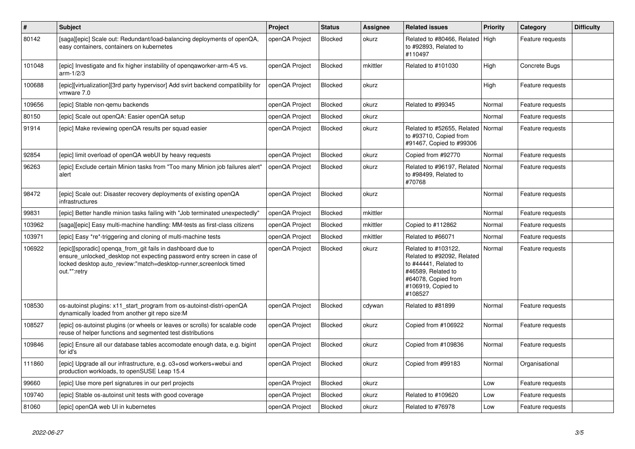| $\pmb{\sharp}$ | <b>Subject</b>                                                                                                                                                                                                             | <b>Project</b> | <b>Status</b>  | Assignee | <b>Related issues</b>                                                                                                                                    | Priority | Category         | <b>Difficulty</b> |
|----------------|----------------------------------------------------------------------------------------------------------------------------------------------------------------------------------------------------------------------------|----------------|----------------|----------|----------------------------------------------------------------------------------------------------------------------------------------------------------|----------|------------------|-------------------|
| 80142          | [saga][epic] Scale out: Redundant/load-balancing deployments of openQA,<br>easy containers, containers on kubernetes                                                                                                       | openQA Project | Blocked        | okurz    | Related to #80466, Related<br>to #92893, Related to<br>#110497                                                                                           | High     | Feature requests |                   |
| 101048         | [epic] Investigate and fix higher instability of opengaworker-arm-4/5 vs.<br>$arm-1/2/3$                                                                                                                                   | openQA Project | <b>Blocked</b> | mkittler | Related to #101030                                                                                                                                       | High     | Concrete Bugs    |                   |
| 100688         | [epic][virtualization][3rd party hypervisor] Add svirt backend compatibility for<br>vmware 7.0                                                                                                                             | openQA Project | <b>Blocked</b> | okurz    |                                                                                                                                                          | High     | Feature requests |                   |
| 109656         | [epic] Stable non-gemu backends                                                                                                                                                                                            | openQA Project | <b>Blocked</b> | okurz    | Related to #99345                                                                                                                                        | Normal   | Feature requests |                   |
| 80150          | [epic] Scale out openQA: Easier openQA setup                                                                                                                                                                               | openQA Project | <b>Blocked</b> | okurz    |                                                                                                                                                          | Normal   | Feature requests |                   |
| 91914          | [epic] Make reviewing openQA results per squad easier                                                                                                                                                                      | openQA Project | Blocked        | okurz    | Related to #52655, Related<br>to #93710, Copied from<br>#91467, Copied to #99306                                                                         | Normal   | Feature requests |                   |
| 92854          | [epic] limit overload of openQA webUI by heavy requests                                                                                                                                                                    | openQA Project | <b>Blocked</b> | okurz    | Copied from #92770                                                                                                                                       | Normal   | Feature requests |                   |
| 96263          | [epic] Exclude certain Minion tasks from "Too many Minion job failures alert"<br>alert                                                                                                                                     | openQA Project | <b>Blocked</b> | okurz    | Related to #96197, Related<br>to #98499, Related to<br>#70768                                                                                            | Normal   | Feature requests |                   |
| 98472          | [epic] Scale out: Disaster recovery deployments of existing openQA<br>infrastructures                                                                                                                                      | openQA Project | <b>Blocked</b> | okurz    |                                                                                                                                                          | Normal   | Feature requests |                   |
| 99831          | [epic] Better handle minion tasks failing with "Job terminated unexpectedly"                                                                                                                                               | openQA Project | Blocked        | mkittler |                                                                                                                                                          | Normal   | Feature requests |                   |
| 103962         | [saga][epic] Easy multi-machine handling: MM-tests as first-class citizens                                                                                                                                                 | openQA Project | <b>Blocked</b> | mkittler | Copied to #112862                                                                                                                                        | Normal   | Feature requests |                   |
| 103971         | [epic] Easy *re*-triggering and cloning of multi-machine tests                                                                                                                                                             | openQA Project | <b>Blocked</b> | mkittler | Related to #66071                                                                                                                                        | Normal   | Feature requests |                   |
| 106922         | [epic][sporadic] openga_from_git fails in dashboard due to<br>ensure unlocked desktop not expecting password entry screen in case of<br>locked desktop auto review:"match=desktop-runner, screenlock timed<br>out.*":retry | openQA Project | Blocked        | okurz    | Related to #103122,<br>Related to #92092, Related<br>to #44441, Related to<br>#46589, Related to<br>#64078, Copied from<br>#106919, Copied to<br>#108527 | Normal   | Feature requests |                   |
| 108530         | os-autoinst plugins: x11 start program from os-autoinst-distri-openQA<br>dynamically loaded from another git repo size:M                                                                                                   | openQA Project | <b>Blocked</b> | cdywan   | Related to #81899                                                                                                                                        | Normal   | Feature requests |                   |
| 108527         | [epic] os-autoinst plugins (or wheels or leaves or scrolls) for scalable code<br>reuse of helper functions and segmented test distributions                                                                                | openQA Project | Blocked        | okurz    | Copied from #106922                                                                                                                                      | Normal   | Feature requests |                   |
| 109846         | [epic] Ensure all our database tables accomodate enough data, e.g. bigint<br>for id's                                                                                                                                      | openQA Project | Blocked        | okurz    | Copied from #109836                                                                                                                                      | Normal   | Feature requests |                   |
| 111860         | [epic] Upgrade all our infrastructure, e.g. o3+osd workers+webui and<br>production workloads, to openSUSE Leap 15.4                                                                                                        | openQA Project | <b>Blocked</b> | okurz    | Copied from #99183                                                                                                                                       | Normal   | Organisational   |                   |
| 99660          | [epic] Use more perl signatures in our perl projects                                                                                                                                                                       | openQA Project | Blocked        | okurz    |                                                                                                                                                          | Low      | Feature requests |                   |
| 109740         | [epic] Stable os-autoinst unit tests with good coverage                                                                                                                                                                    | openQA Project | <b>Blocked</b> | okurz    | Related to #109620                                                                                                                                       | Low      | Feature requests |                   |
| 81060          | [epic] openQA web UI in kubernetes                                                                                                                                                                                         | openQA Project | Blocked        | okurz    | Related to #76978                                                                                                                                        | Low      | Feature requests |                   |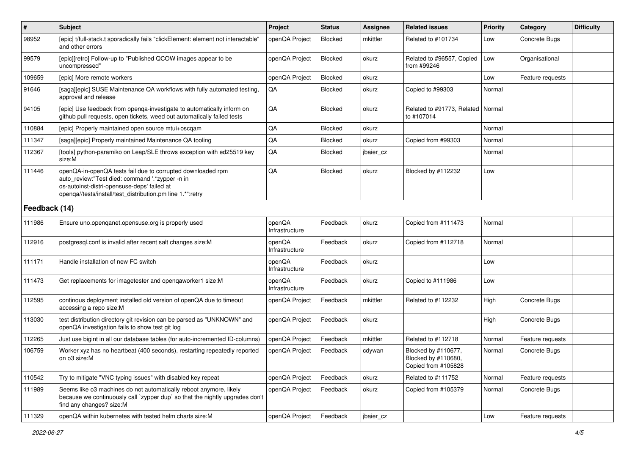| $\sharp$      | Subject                                                                                                                                                                                                                     | Project                  | <b>Status</b> | <b>Assignee</b> | <b>Related issues</b>                                             | <b>Priority</b> | Category         | <b>Difficulty</b> |
|---------------|-----------------------------------------------------------------------------------------------------------------------------------------------------------------------------------------------------------------------------|--------------------------|---------------|-----------------|-------------------------------------------------------------------|-----------------|------------------|-------------------|
| 98952         | [epic] t/full-stack.t sporadically fails "clickElement: element not interactable'<br>and other errors                                                                                                                       | openQA Project           | Blocked       | mkittler        | Related to #101734                                                | Low             | Concrete Bugs    |                   |
| 99579         | [epic][retro] Follow-up to "Published QCOW images appear to be<br>uncompressed"                                                                                                                                             | openQA Project           | Blocked       | okurz           | Related to #96557, Copied<br>from #99246                          | Low             | Organisational   |                   |
| 109659        | [epic] More remote workers                                                                                                                                                                                                  | openQA Project           | Blocked       | okurz           |                                                                   | Low             | Feature requests |                   |
| 91646         | [saga][epic] SUSE Maintenance QA workflows with fully automated testing,<br>approval and release                                                                                                                            | QA                       | Blocked       | okurz           | Copied to #99303                                                  | Normal          |                  |                   |
| 94105         | [epic] Use feedback from openga-investigate to automatically inform on<br>github pull requests, open tickets, weed out automatically failed tests                                                                           | QA                       | Blocked       | okurz           | Related to #91773, Related<br>to #107014                          | Normal          |                  |                   |
| 110884        | [epic] Properly maintained open source mtui+oscgam                                                                                                                                                                          | QA                       | Blocked       | okurz           |                                                                   | Normal          |                  |                   |
| 111347        | [saga][epic] Properly maintained Maintenance QA tooling                                                                                                                                                                     | QA                       | Blocked       | okurz           | Copied from #99303                                                | Normal          |                  |                   |
| 112367        | [tools] python-paramiko on Leap/SLE throws exception with ed25519 key<br>size:M                                                                                                                                             | QA                       | Blocked       | jbaier cz       |                                                                   | Normal          |                  |                   |
| 111446        | openQA-in-openQA tests fail due to corrupted downloaded rpm<br>auto_review:"Test died: command '.*zypper -n in<br>os-autoinst-distri-opensuse-deps' failed at<br>openqa//tests/install/test_distribution.pm line 1.*":retry | QA                       | Blocked       | okurz           | Blocked by #112232                                                | Low             |                  |                   |
| Feedback (14) |                                                                                                                                                                                                                             |                          |               |                 |                                                                   |                 |                  |                   |
| 111986        | Ensure uno openganet opensuse org is properly used                                                                                                                                                                          | openQA<br>Infrastructure | Feedback      | okurz           | Copied from #111473                                               | Normal          |                  |                   |
| 112916        | postgresql.conf is invalid after recent salt changes size: M                                                                                                                                                                | openQA<br>Infrastructure | Feedback      | okurz           | Copied from #112718                                               | Normal          |                  |                   |
| 111171        | Handle installation of new FC switch                                                                                                                                                                                        | openQA<br>Infrastructure | Feedback      | okurz           |                                                                   | Low             |                  |                   |
| 111473        | Get replacements for imagetester and openqaworker1 size:M                                                                                                                                                                   | openQA<br>Infrastructure | Feedback      | okurz           | Copied to #111986                                                 | Low             |                  |                   |
| 112595        | continous deployment installed old version of openQA due to timeout<br>accessing a repo size:M                                                                                                                              | openQA Project           | Feedback      | mkittler        | Related to #112232                                                | High            | Concrete Bugs    |                   |
| 113030        | test distribution directory git revision can be parsed as "UNKNOWN" and<br>openQA investigation fails to show test git log                                                                                                  | openQA Project           | Feedback      | okurz           |                                                                   | High            | Concrete Bugs    |                   |
| 112265        | Just use bigint in all our database tables (for auto-incremented ID-columns)                                                                                                                                                | openQA Project           | Feedback      | mkittler        | Related to #112718                                                | Normal          | Feature requests |                   |
| 106759        | Worker xyz has no heartbeat (400 seconds), restarting repeatedly reported<br>on o3 size:M                                                                                                                                   | openQA Project           | Feedback      | cdywan          | Blocked by #110677,<br>Blocked by #110680,<br>Copied from #105828 | Normal          | Concrete Bugs    |                   |
| 110542        | Try to mitigate "VNC typing issues" with disabled key repeat                                                                                                                                                                | openQA Project           | Feedback      | okurz           | Related to #111752                                                | Normal          | Feature requests |                   |
| 111989        | Seems like o3 machines do not automatically reboot anymore, likely<br>because we continuously call `zypper dup` so that the nightly upgrades don't<br>find any changes? size:M                                              | openQA Project           | Feedback      | okurz           | Copied from #105379                                               | Normal          | Concrete Bugs    |                   |
| 111329        | openQA within kubernetes with tested helm charts size:M                                                                                                                                                                     | openQA Project           | Feedback      | jbaier_cz       |                                                                   | Low             | Feature requests |                   |